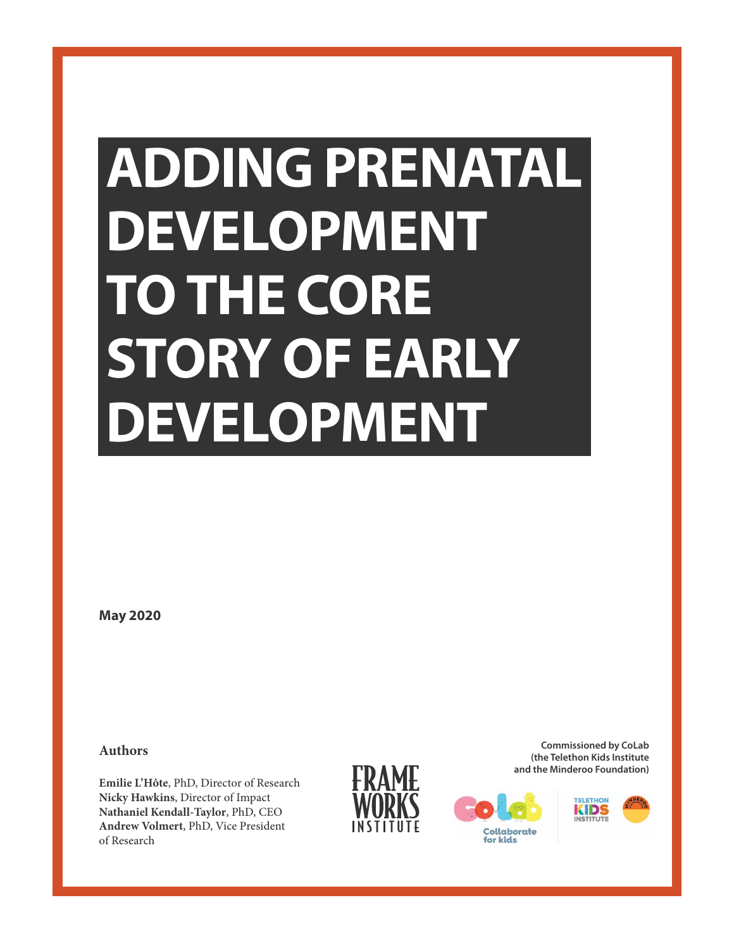## **ADDING PRENATAL DEVELOPMENT TO THE CORE STORY OF EARLY DEVELOPMENT**

**May 2020**

**Authors**

**Emilie L'Hôte**, PhD, Director of Research **Nicky Hawkins**, Director of Impact **Nathaniel Kendall-Taylor**, PhD, CEO **Andrew Volmert**, PhD, Vice President of Research



**Commissioned by CoLab (the Telethon Kids Institute and the Minderoo Foundation)**



for kids

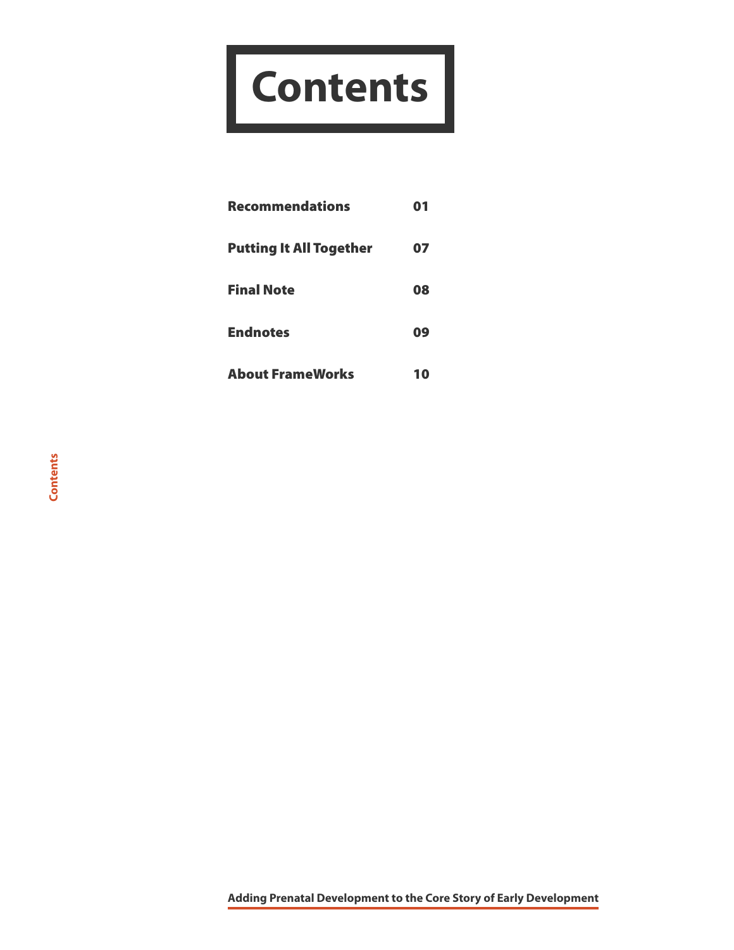# **Contents**

| <b>Recommendations</b>         | 01 |
|--------------------------------|----|
| <b>Putting It All Together</b> | 07 |
| <b>Final Note</b>              | 08 |
| <b>Endnotes</b>                | 09 |
| <b>About FrameWorks</b>        |    |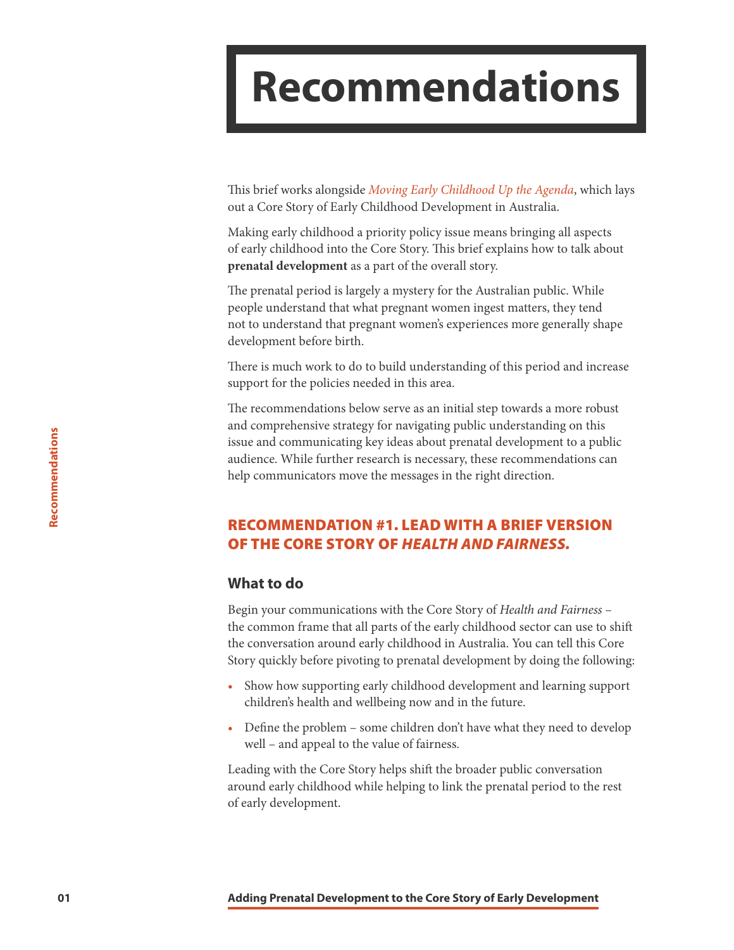### <span id="page-2-0"></span>**Recommendations**

This brief works alongside *[Moving Early Childhood Up the Agenda](http://frameworksinstitute.org/assets/files/Australia/colab_strategicbrief_2020.pdf)*, which lays out a Core Story of Early Childhood Development in Australia.

Making early childhood a priority policy issue means bringing all aspects of early childhood into the Core Story. This brief explains how to talk about **prenatal development** as a part of the overall story.

The prenatal period is largely a mystery for the Australian public. While people understand that what pregnant women ingest matters, they tend not to understand that pregnant women's experiences more generally shape development before birth.

There is much work to do to build understanding of this period and increase support for the policies needed in this area.

The recommendations below serve as an initial step towards a more robust and comprehensive strategy for navigating public understanding on this issue and communicating key ideas about prenatal development to a public audience. While further research is necessary, these recommendations can help communicators move the messages in the right direction.

#### RECOMMENDATION #1. LEAD WITH A BRIEF VERSION OF THE CORE STORY OF *HEALTH AND FAIRNESS.*

#### **What to do**

Begin your communications with the Core Story of *Health and Fairness* – the common frame that all parts of the early childhood sector can use to shift the conversation around early childhood in Australia. You can tell this Core Story quickly before pivoting to prenatal development by doing the following:

- Show how supporting early childhood development and learning support children's health and wellbeing now and in the future.
- Define the problem some children don't have what they need to develop well – and appeal to the value of fairness.

Leading with the Core Story helps shift the broader public conversation around early childhood while helping to link the prenatal period to the rest of early development.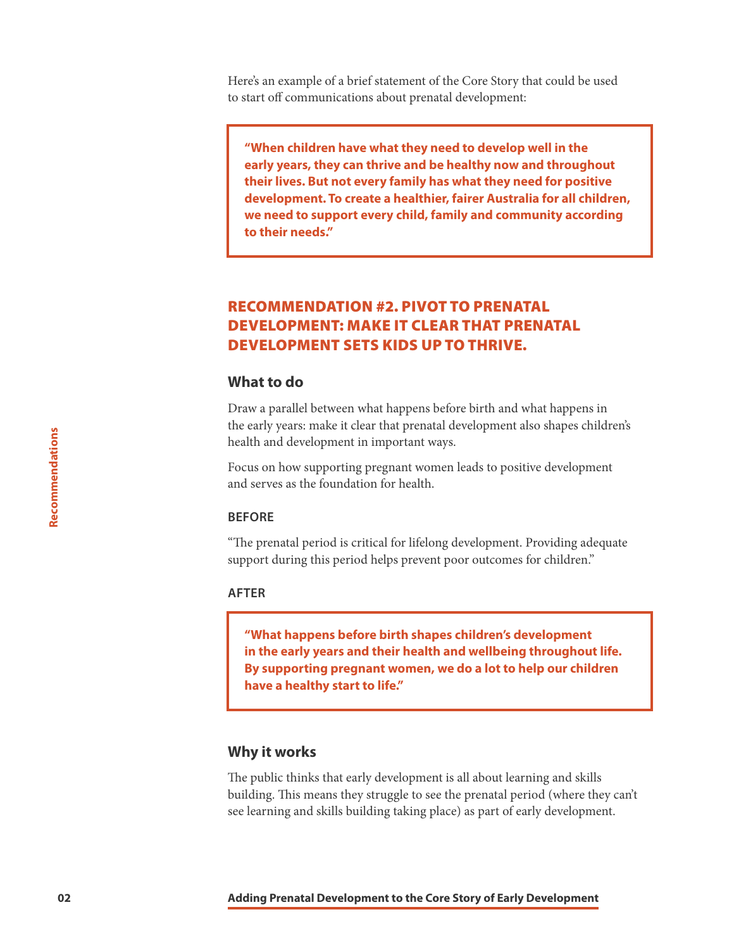Here's an example of a brief statement of the Core Story that could be used to start off communications about prenatal development:

**"When children have what they need to develop well in the early years, they can thrive and be healthy now and throughout their lives. But not every family has what they need for positive development. To create a healthier, fairer Australia for all children, we need to support every child, family and community according to their needs."**

#### RECOMMENDATION #2. PIVOT TO PRENATAL DEVELOPMENT: MAKE IT CLEAR THAT PRENATAL DEVELOPMENT SETS KIDS UP TO THRIVE.

#### **What to do**

Draw a parallel between what happens before birth and what happens in the early years: make it clear that prenatal development also shapes children's health and development in important ways.

Focus on how supporting pregnant women leads to positive development and serves as the foundation for health.

#### **BEFORE**

"The prenatal period is critical for lifelong development. Providing adequate support during this period helps prevent poor outcomes for children."

#### **AFTER**

**"What happens before birth shapes children's development in the early years and their health and wellbeing throughout life. By supporting pregnant women, we do a lot to help our children have a healthy start to life."**

#### **Why it works**

The public thinks that early development is all about learning and skills building. This means they struggle to see the prenatal period (where they can't see learning and skills building taking place) as part of early development.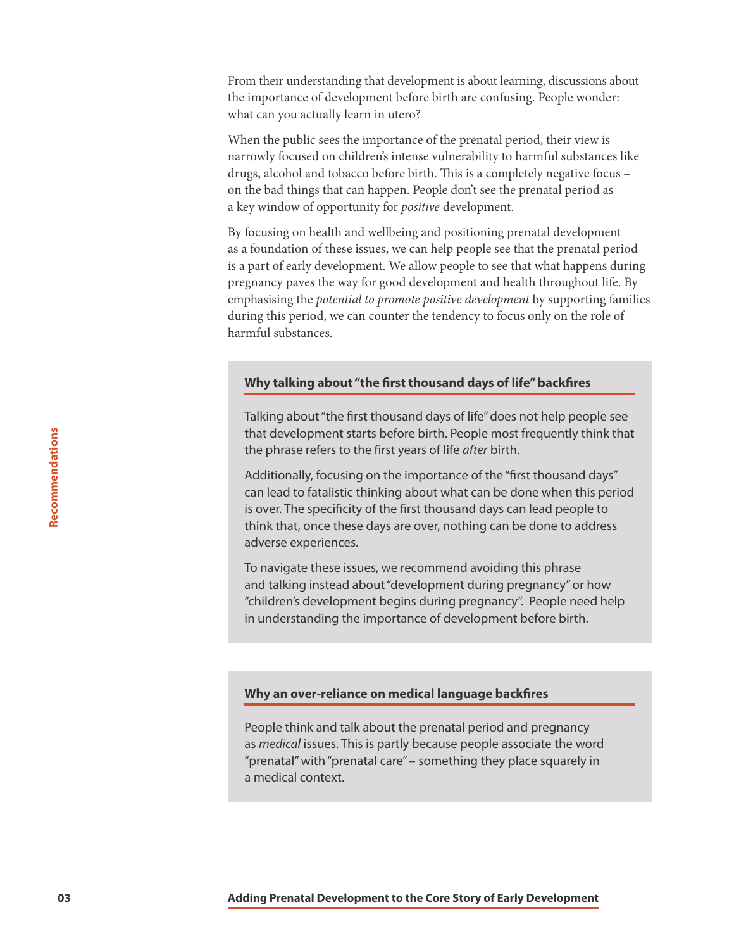<span id="page-4-0"></span>From their understanding that development is about learning, discussions about the importance of development before birth are confusing. People wonder: what can you actually learn in utero?

When the public sees the importance of the prenatal period, their view is narrowly focused on children's intense vulnerability to harmful substances like drugs, alcohol and tobacco before birth. This is a completely negative focus – on the bad things that can happen. People don't see the prenatal period as a key window of opportunity for *positive* development.

By focusing on health and wellbeing and positioning prenatal development as a foundation of these issues, we can help people see that the prenatal period is a part of early development. We allow people to see that what happens during pregnancy paves the way for good development and health throughout life. By emphasising the *potential to promote positive development* by supporting families during this period, we can counter the tendency to focus only on the role of harmful substances.

#### **Why talking about "the first thousand days of life" backfires**

Talking about "the first thousand days of life" does not help people see that development starts before birth. People most frequently think that the phrase refers to the first years of life *after* birth.

Additionally, focusing on the importance of the "first thousand days" can lead to fatalistic thinking about what can be done when this period is over. The specificity of the first thousand days can lead people to think that, once these days are over, nothing can be done to address adverse experiences.

To navigate these issues, we recommend avoiding this phrase and talking instead about "development during pregnancy" or how "children's development begins during pregnancy". People need help in understanding the importance of development before birth.

#### **Why an over-reliance on medical language backfires**

People think and talk about the prenatal period and pregnancy as *medical* issues. This is partly because people associate the word "prenatal" with "prenatal care" – something they place squarely in a medical context.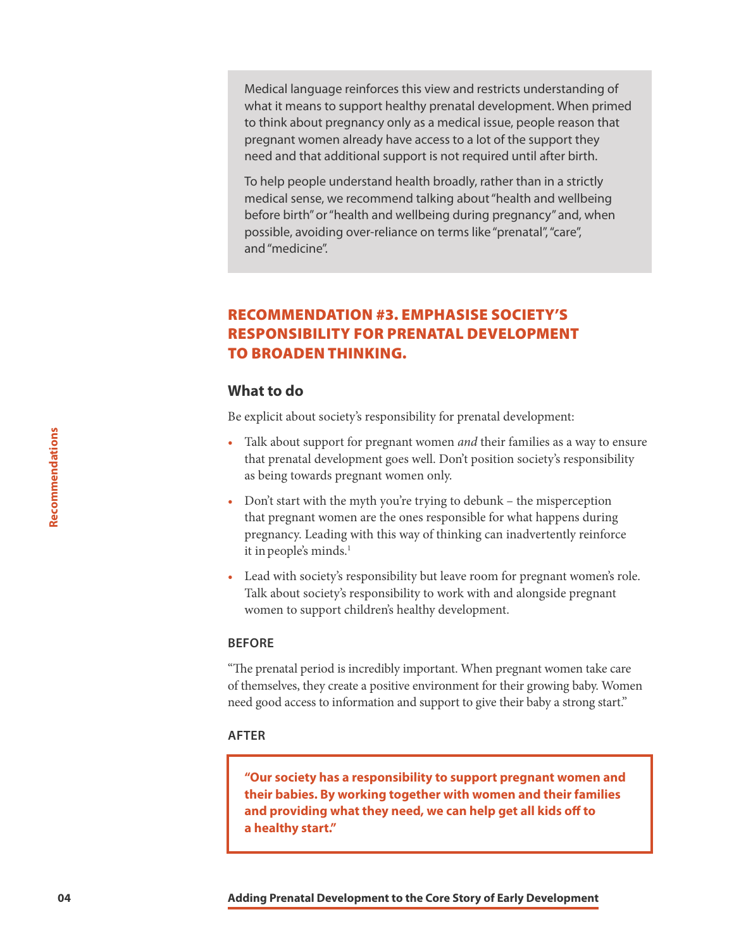Medical language reinforces this view and restricts understanding of what it means to support healthy prenatal development. When primed to think about pregnancy only as a medical issue, people reason that pregnant women already have access to a lot of the support they need and that additional support is not required until after birth.

To help people understand health broadly, rather than in a strictly medical sense, we recommend talking about "health and wellbeing before birth" or "health and wellbeing during pregnancy" and, when possible, avoiding over-reliance on terms like "prenatal", "care", and "medicine".

#### RECOMMENDATION #3. EMPHASISE SOCIETY'S RESPONSIBILITY FOR PRENATAL DEVELOPMENT TO BROADEN THINKING.

#### **What to do**

Be explicit about society's responsibility for prenatal development:

- Talk about support for pregnant women *and* their families as a way to ensure that prenatal development goes well. Don't position society's responsibility as being towards pregnant women only.
- Don't start with the myth you're trying to debunk the misperception that pregnant women are the ones responsible for what happens during pregnancy. Leading with this way of thinking can inadvertently reinforce it in people's minds.<sup>1</sup>
- Lead with society's responsibility but leave room for pregnant women's role. Talk about society's responsibility to work with and alongside pregnant women to support children's healthy development.

#### **BEFORE**

"The prenatal period is incredibly important. When pregnant women take care of themselves, they create a positive environment for their growing baby. Women need good access to information and support to give their baby a strong start."

#### **AFTER**

**"Our society has a responsibility to support pregnant women and their babies. By working together with women and their families and providing what they need, we can help get all kids off to a healthy start."**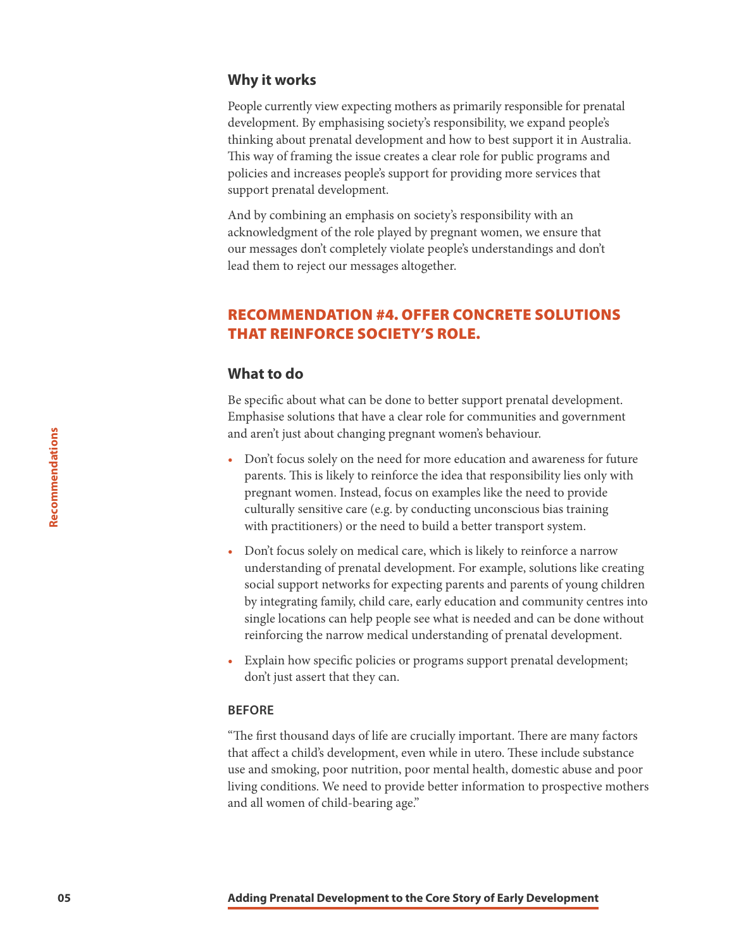#### **Why it works**

People currently view expecting mothers as primarily responsible for prenatal development. By emphasising society's responsibility, we expand people's thinking about prenatal development and how to best support it in Australia. This way of framing the issue creates a clear role for public programs and policies and increases people's support for providing more services that support prenatal development.

And by combining an emphasis on society's responsibility with an acknowledgment of the role played by pregnant women, we ensure that our messages don't completely violate people's understandings and don't lead them to reject our messages altogether.

#### RECOMMENDATION #4. OFFER CONCRETE SOLUTIONS THAT REINFORCE SOCIETY'S ROLE.

#### **What to do**

Be specific about what can be done to better support prenatal development. Emphasise solutions that have a clear role for communities and government and aren't just about changing pregnant women's behaviour.

- Don't focus solely on the need for more education and awareness for future parents. This is likely to reinforce the idea that responsibility lies only with pregnant women. Instead, focus on examples like the need to provide culturally sensitive care (e.g. by conducting unconscious bias training with practitioners) or the need to build a better transport system.
- Don't focus solely on medical care, which is likely to reinforce a narrow understanding of prenatal development. For example, solutions like creating social support networks for expecting parents and parents of young children by integrating family, child care, early education and community centres into single locations can help people see what is needed and can be done without reinforcing the narrow medical understanding of prenatal development.
- Explain how specific policies or programs support prenatal development; don't just assert that they can.

#### **BEFORE**

"The first thousand days of life are crucially important. There are many factors that affect a child's development, even while in utero. These include substance use and smoking, poor nutrition, poor mental health, domestic abuse and poor living conditions. We need to provide better information to prospective mothers and all women of child-bearing age."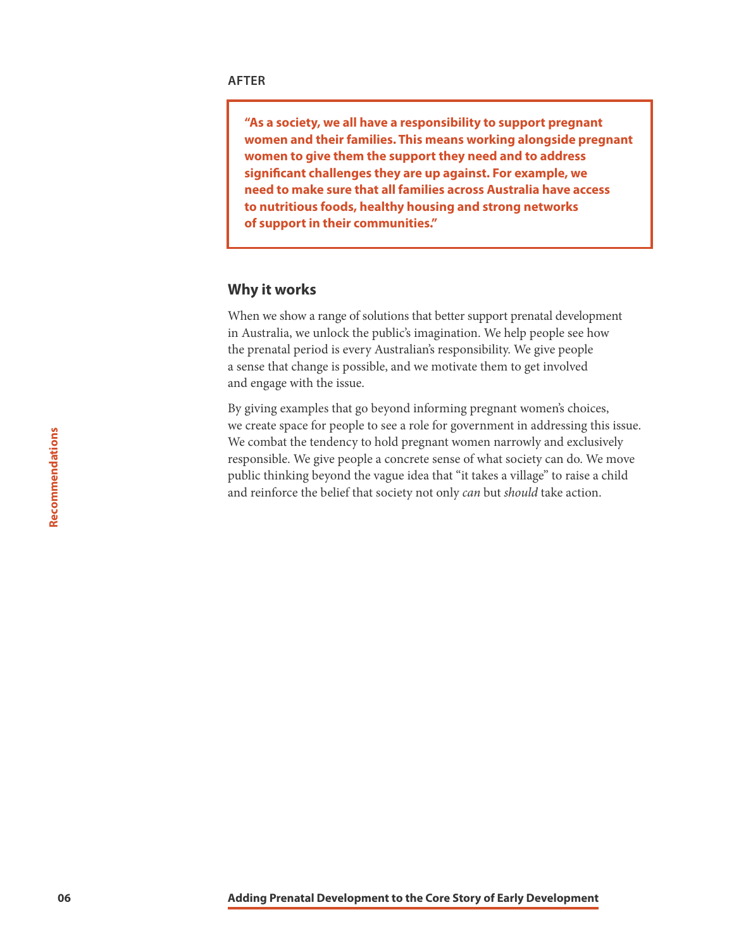**"As a society, we all have a responsibility to support pregnant women and their families. This means working alongside pregnant women to give them the support they need and to address significant challenges they are up against. For example, we need to make sure that all families across Australia have access to nutritious foods, healthy housing and strong networks of support in their communities."**

#### **Why it works**

When we show a range of solutions that better support prenatal development in Australia, we unlock the public's imagination. We help people see how the prenatal period is every Australian's responsibility. We give people a sense that change is possible, and we motivate them to get involved and engage with the issue.

By giving examples that go beyond informing pregnant women's choices, we create space for people to see a role for government in addressing this issue. We combat the tendency to hold pregnant women narrowly and exclusively responsible. We give people a concrete sense of what society can do. We move public thinking beyond the vague idea that "it takes a village" to raise a child and reinforce the belief that society not only *can* but *should* take action.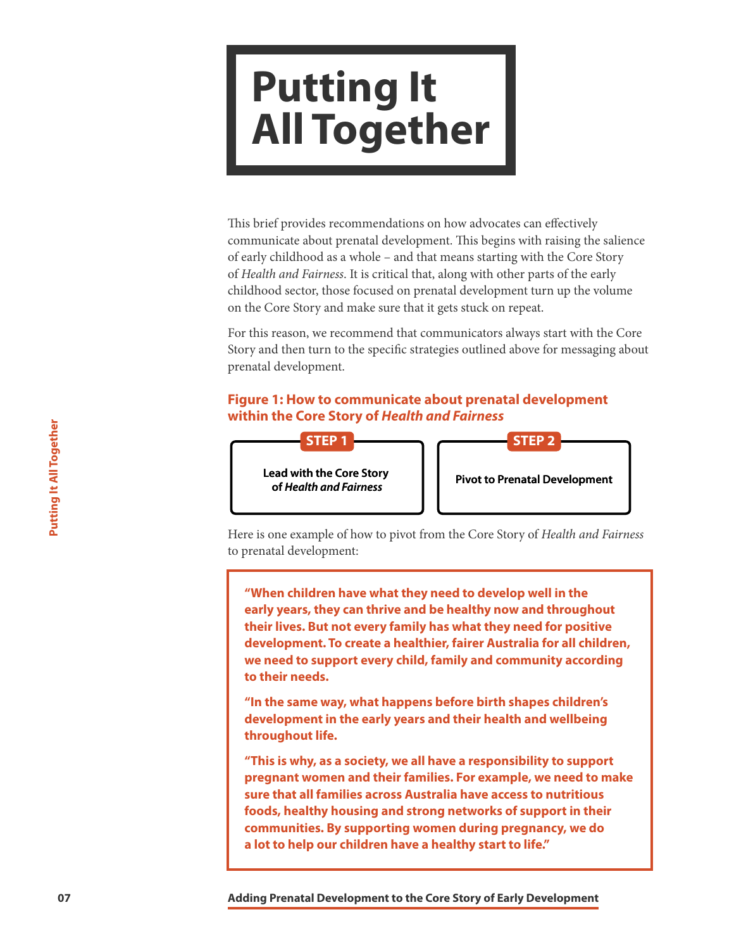### **Putting It All Together**

This brief provides recommendations on how advocates can effectively communicate about prenatal development. This begins with raising the salience of early childhood as a whole – and that means starting with the Core Story of *Health and Fairness*. It is critical that, along with other parts of the early childhood sector, those focused on prenatal development turn up the volume on the Core Story and make sure that it gets stuck on repeat.

For this reason, we recommend that communicators always start with the Core Story and then turn to the specific strategies outlined above for messaging about prenatal development.

#### **Figure 1: How to communicate about prenatal development within the Core Story of** *Health and Fairness*



Here is one example of how to pivot from the Core Story of *Health and Fairness* to prenatal development:

**1979**<br> **1979**<br> **1979**<br> **1979**<br> **1979**<br> **1979**<br> **1979**<br> **1979**<br> **1979**<br> **1979**<br> **1979**<br> **1979**<br> **1979**<br> **1979**<br> **1979**<br> **1979**<br> **1979**<br> **1979**<br> **1979**<br> **1979**<br> **1979**<br> **1979**<br> **1979**<br> **1979**<br> **1979**<br> **1979**<br> **1979**<br> **1979 "When children have what they need to develop well in the early years, they can thrive and be healthy now and throughout their lives. But not every family has what they need for positive development. To create a healthier, fairer Australia for all children, we need to support every child, family and community according to their needs.**

**"In the same way, what happens before birth shapes children's development in the early years and their health and wellbeing throughout life.** 

**"This is why, as a society, we all have a responsibility to support pregnant women and their families. For example, we need to make sure that all families across Australia have access to nutritious foods, healthy housing and strong networks of support in their communities. By supporting women during pregnancy, we do a lot to help our children have a healthy start to life."**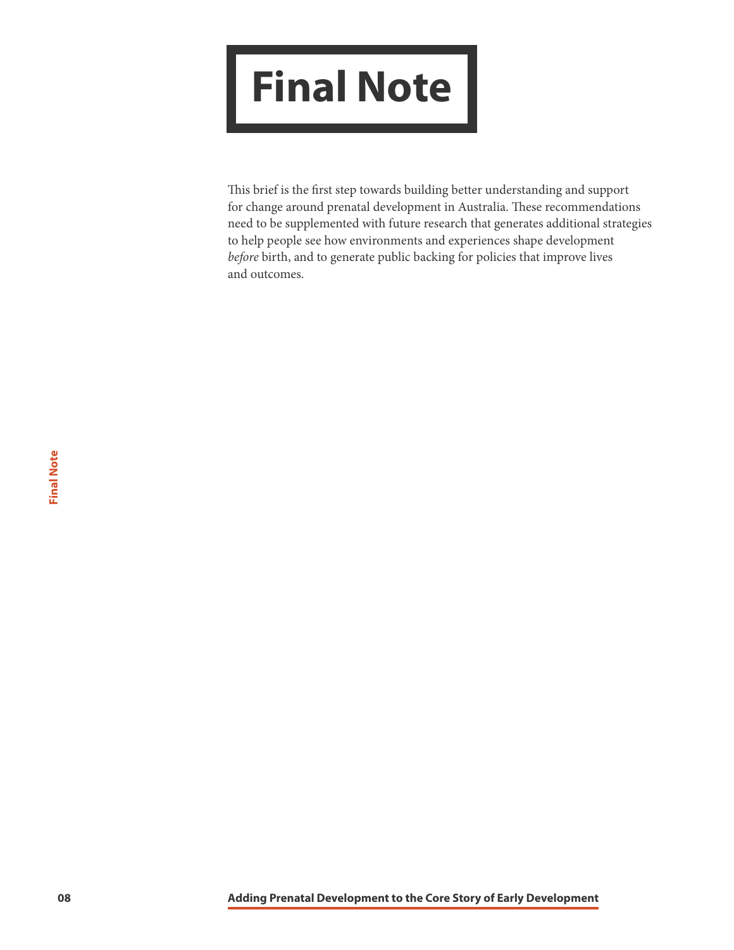## **Final Note**

This brief is the first step towards building better understanding and support for change around prenatal development in Australia. These recommendations need to be supplemented with future research that generates additional strategies to help people see how environments and experiences shape development *before* birth, and to generate public backing for policies that improve lives and outcomes.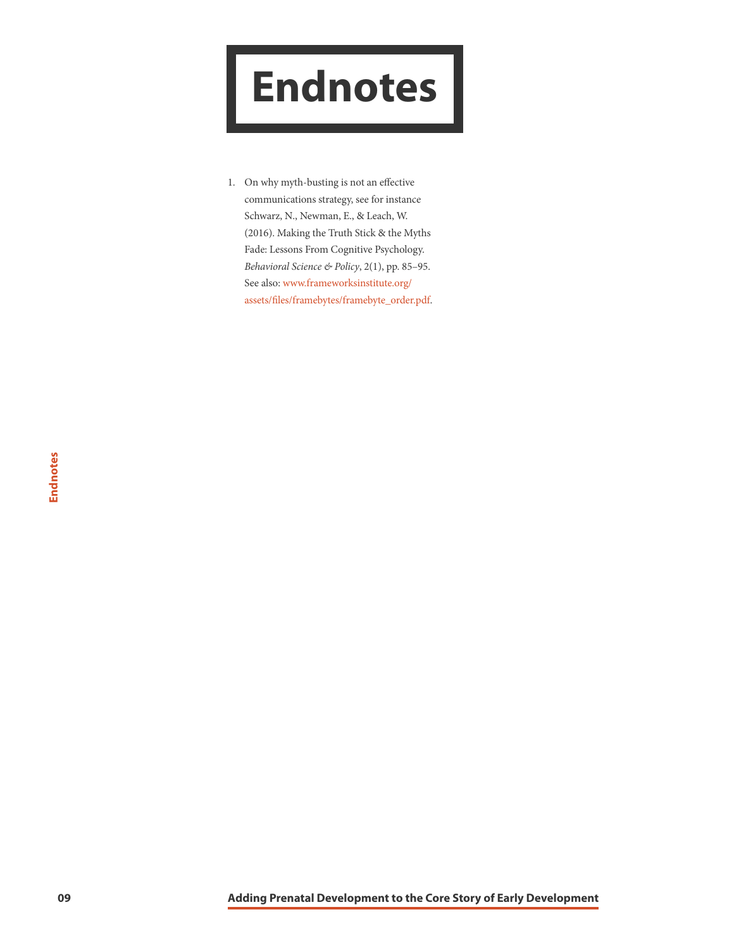### <span id="page-10-0"></span>**Endnotes**

1. On why myth-busting is not an effective communications strategy, see for instance Schwarz, N., Newman, E., & Leach, W. (2016). Making the Truth Stick & the Myths Fade: Lessons From Cognitive Psychology. *Behavioral Science & Policy*, 2(1), pp. 85–95. See also: [www.frameworksinstitute.org/](https://www.frameworksinstitute.org/assets/files/framebytes/framebyte_order.pdf) [assets/files/framebytes/framebyte\\_order.pdf.](https://www.frameworksinstitute.org/assets/files/framebytes/framebyte_order.pdf)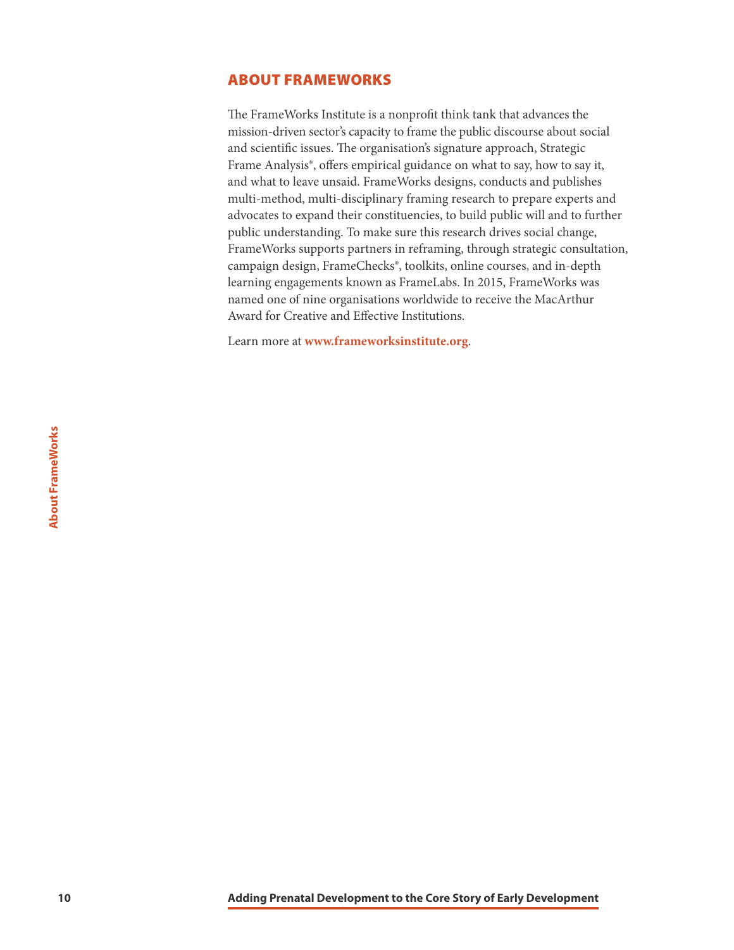#### <span id="page-11-0"></span>ABOUT FRAMEWORKS

The FrameWorks Institute is a nonprofit think tank that advances the mission-driven sector's capacity to frame the public discourse about social and scientific issues. The organisation's signature approach, Strategic Frame Analysis®, offers empirical guidance on what to say, how to say it, and what to leave unsaid. FrameWorks designs, conducts and publishes multi-method, multi-disciplinary framing research to prepare experts and advocates to expand their constituencies, to build public will and to further public understanding. To make sure this research drives social change, FrameWorks supports partners in reframing, through strategic consultation, campaign design, FrameChecks®, toolkits, online courses, and in-depth learning engagements known as FrameLabs. In 2015, FrameWorks was named one of nine organisations worldwide to receive the MacArthur Award for Creative and Effective Institutions.

Learn more at **<www.frameworksinstitute.org>**.